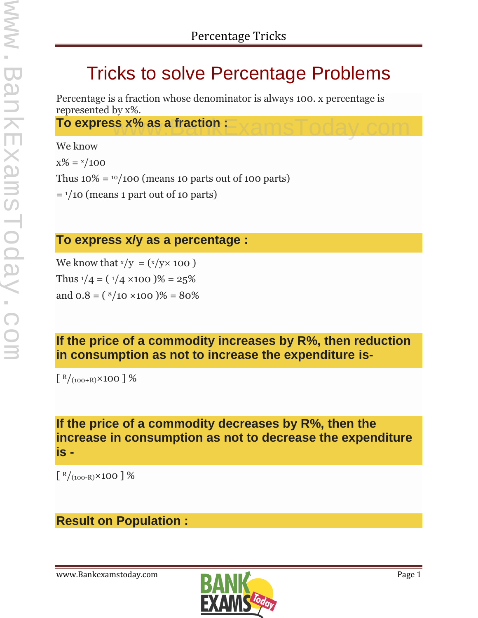# Tricks to solve Percentage Problems

Percentage is a fraction whose denominator is always 100. x percentage is represented by x%.

**To express x% as a fraction**  $\mathbf{E}\times\mathbf{amsToday}$  **.com** 

We know  $x\% = x/100$ Thus  $10\% = \frac{10}{100}$  (means 10 parts out of 100 parts)  $=$  1/10 (means 1 part out of 10 parts)

## **To express x/y as a percentage :**

We know that  $x/y = (x/y \times 100)$ Thus  $\frac{1}{4} = (\frac{1}{4} \times 100)$ % = 25% and  $0.8 = (8/10 \times 100)$ % = 80%

# **If the price of a commodity increases by R%, then reduction in consumption as not to increase the expenditure is-**

 $\left[ \frac{R}{(100+R)} \times 100 \right]$  %

## **If the price of a commodity decreases by R%, then the increase in consumption as not to decrease the expenditure is -**

 $\left[ \frac{R}{(100-R)} \times 100 \right]$ %

# **Result on Population :**

www.Bankexamstoday.com **Page 1** 

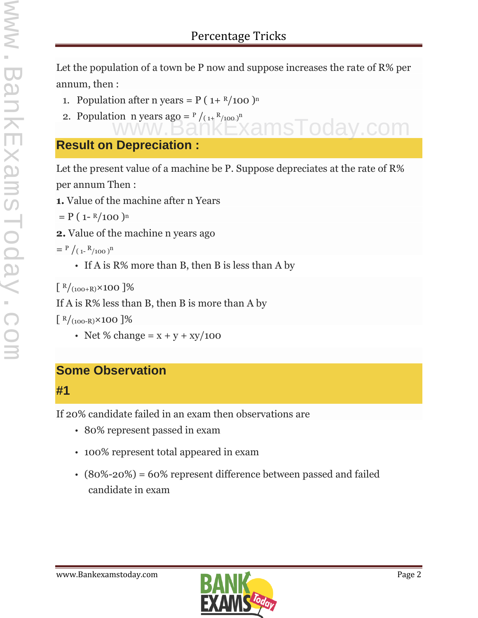Let the population of a town be P now and suppose increases the rate of R% per annum, then :

msToday.com

- 1. Population after n years =  $P(1+ R/100)^n$
- 2. Population n years ago =  $P/(1+R/100)^n$

# **Result on Depreciation :**

Let the present value of a machine be P. Suppose depreciates at the rate of R% per annum Then :

**1.** Value of the machine after n Years

$$
= P (1 - R/100)^n
$$

**2.** Value of the machine n years ago

$$
= P / (1 - R / 100)^{n}
$$

If A is  $R\%$  more than B, then B is less than A by

 $\left[ \frac{R}{100+R} \times 100 \right]$ %

If A is R% less than B, then B is more than A by

 $\left[ \frac{R}{100-R} \times 100 \right]$ %

• Net % change =  $x + y + xy/100$ 

## **Some Observation**

#### **#1**

If 20% candidate failed in an exam then observations are

- 80% represent passed in exam
- 100% represent total appeared in exam
- (80%-20%) = 60% represent difference between passed and failed candidate in exam

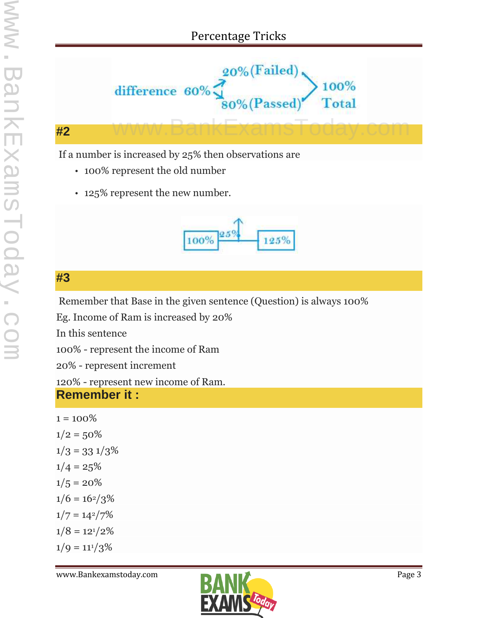

#### **#2**

If a number is increased by 25% then observations are

- 100% represent the old number
- 125% represent the new number.



# **#3**

Remember that Base in the given sentence (Question) is always 100%

Eg. Income of Ram is increased by 20%

In this sentence

100% - represent the income of Ram

20% - represent increment

120% - represent new income of Ram.

#### **Remember it :**

```
1 = 100\%1/2 = 50\%1/3 = 33 \frac{1}{3}\%1/4 = 25\%1/5 = 20\%1/6 = 16^{2}/3%1/7 = 14^{2}/7\%1/8 = 12^{1}/2%1/9 = 11^{1}/3\%
```
www.Bankexamstoday.com **Page 3** 

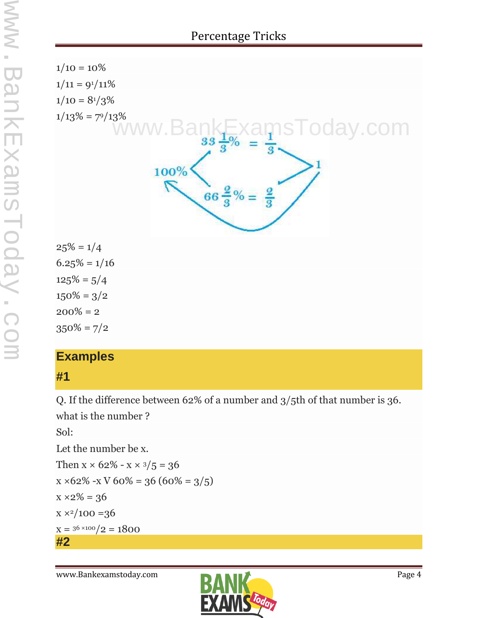

# **Examples**

## **#1**

Q. If the difference between 62% of a number and 3/5th of that number is 36.

what is the number ?

Sol: Let the number be x. Then  $x \times 62\% - x \times \frac{3}{5} = 36$  $x \times 62\% - x \sqrt{60\%} = 36(60\% = 3/5)$  $x \times 2\% = 36$  $x \times 2/100 = 36$  $x = 36 \times 100 / 2 = 1800$ **#2**

www.Bankexamstoday.com **Page 4**